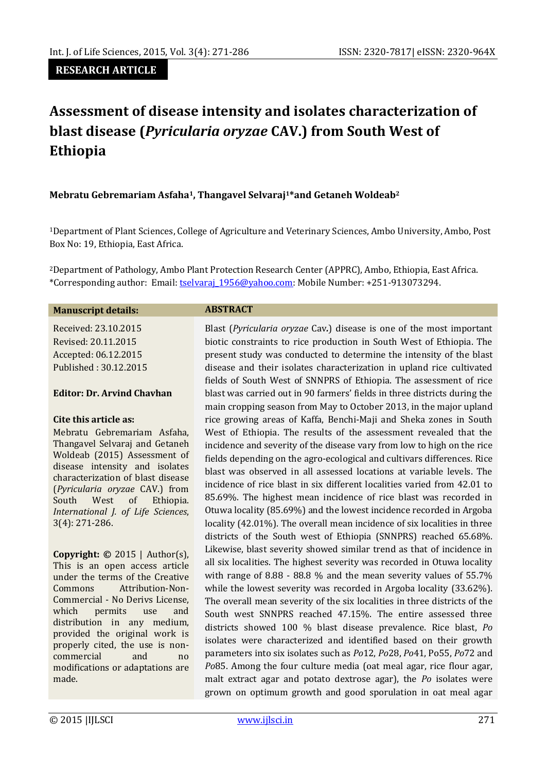#### **RESEARCH ARTICLE**

# **Assessment of disease intensity and isolates characterization of blast disease (***Pyricularia oryzae* **CAV.) from South West of Ethiopia**

#### **Mebratu Gebremariam Asfaha1, Thangavel Selvaraj1\*and Getaneh Woldeab<sup>2</sup>**

<sup>1</sup>Department of Plant Sciences, College of Agriculture and Veterinary Sciences, Ambo University, Ambo, Post Box No: 19, Ethiopia, East Africa.

<sup>2</sup>Department of Pathology, Ambo Plant Protection Research Center (APPRC), Ambo, Ethiopia, East Africa. \*Corresponding author: Email: [tselvaraj\\_1956@yahoo.com:](mailto:tselvaraj_1956@yahoo.com) Mobile Number: +251-913073294.

#### **Manuscript details: ABSTRACT**

Received: 23.10.2015 Revised: 20.11.2015 Accepted: 06.12.2015 Published : 30.12.2015

#### **Editor: Dr. Arvind Chavhan**

#### **Cite this article as:**

Mebratu Gebremariam Asfaha, Thangavel Selvaraj and Getaneh Woldeab (2015) Assessment of disease intensity and isolates characterization of blast disease (*Pyricularia oryzae* CAV.) from South West of Ethiopia. *International J. of Life Sciences*, 3(4): 271-286.

**Copyright: ©** 2015 | Author(s), This is an open access article under the terms of the Creative Commons Attribution-Non-Commercial - No Derivs License, which permits use and distribution in any medium, provided the original work is properly cited, the use is noncommercial and no modifications or adaptations are made.

Blast (*Pyricularia oryzae* Cav*.*) disease is one of the most important biotic constraints to rice production in South West of Ethiopia. The present study was conducted to determine the intensity of the blast disease and their isolates characterization in upland rice cultivated fields of South West of SNNPRS of Ethiopia. The assessment of rice blast was carried out in 90 farmers' fields in three districts during the main cropping season from May to October 2013, in the major upland rice growing areas of Kaffa, Benchi-Maji and Sheka zones in South West of Ethiopia. The results of the assessment revealed that the incidence and severity of the disease vary from low to high on the rice fields depending on the agro-ecological and cultivars differences. Rice blast was observed in all assessed locations at variable levels. The incidence of rice blast in six different localities varied from 42.01 to 85.69%. The highest mean incidence of rice blast was recorded in Otuwa locality (85.69%) and the lowest incidence recorded in Argoba locality (42.01%). The overall mean incidence of six localities in three districts of the South west of Ethiopia (SNNPRS) reached 65.68%. Likewise, blast severity showed similar trend as that of incidence in all six localities. The highest severity was recorded in Otuwa locality with range of 8.88 - 88.8 % and the mean severity values of 55.7% while the lowest severity was recorded in Argoba locality (33.62%). The overall mean severity of the six localities in three districts of the South west SNNPRS reached 47.15%. The entire assessed three districts showed 100 % blast disease prevalence. Rice blast, *Po* isolates were characterized and identified based on their growth parameters into six isolates such as *Po*12, *Po*28, *Po*41, Po55, *Po*72 and *Po*85. Among the four culture media (oat meal agar, rice flour agar, malt extract agar and potato dextrose agar), the *Po* isolates were grown on optimum growth and good sporulation in oat meal agar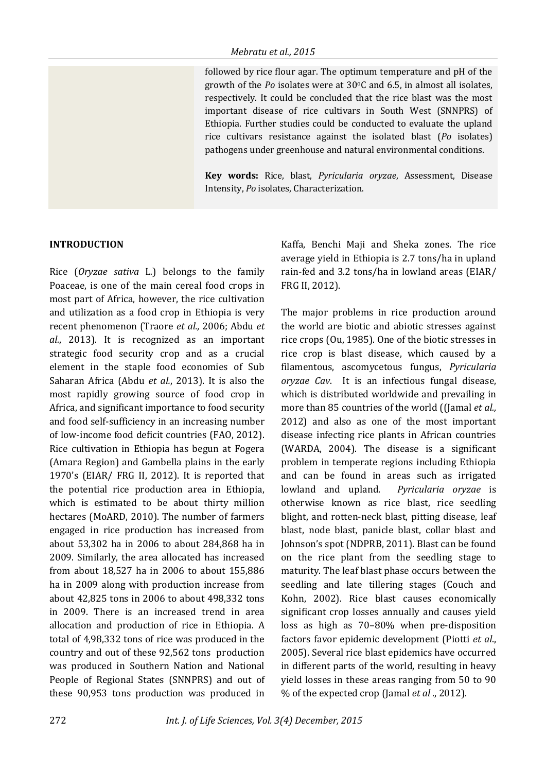followed by rice flour agar. The optimum temperature and pH of the growth of the *Po* isolates were at 30°C and 6.5, in almost all isolates, respectively. It could be concluded that the rice blast was the most important disease of rice cultivars in South West (SNNPRS) of Ethiopia. Further studies could be conducted to evaluate the upland rice cultivars resistance against the isolated blast (*Po* isolates) pathogens under greenhouse and natural environmental conditions.

**Key words:** Rice, blast, *Pyricularia oryzae*, Assessment, Disease Intensity, *Po* isolates, Characterization.

#### **INTRODUCTION**

Rice (*Oryzae sativa* L*.*) belongs to the family Poaceae, is one of the main cereal food crops in most part of Africa, however, the rice cultivation and utilization as a food crop in Ethiopia is very recent phenomenon (Traore *et al.,* 2006; Abdu *et al.*, 2013). It is recognized as an important strategic food security crop and as a crucial element in the staple food economies of Sub Saharan Africa (Abdu *et al.*, 2013). It is also the most rapidly growing source of food crop in Africa, and significant importance to food security and food self-sufficiency in an increasing number of low-income food deficit countries (FAO, 2012). Rice cultivation in Ethiopia has begun at Fogera (Amara Region) and Gambella plains in the early 1970's (EIAR/ FRG II, 2012). It is reported that the potential rice production area in Ethiopia, which is estimated to be about thirty million hectares (MoARD, 2010). The number of farmers engaged in rice production has increased from about 53,302 ha in 2006 to about 284,868 ha in 2009. Similarly, the area allocated has increased from about 18,527 ha in 2006 to about 155,886 ha in 2009 along with production increase from about 42,825 tons in 2006 to about 498,332 tons in 2009. There is an increased trend in area allocation and production of rice in Ethiopia. A total of 4,98,332 tons of rice was produced in the country and out of these 92,562 tons production was produced in Southern Nation and National People of Regional States (SNNPRS) and out of these 90,953 tons production was produced in

Kaffa, Benchi Maji and Sheka zones. The rice average yield in Ethiopia is 2.7 tons/ha in upland rain-fed and 3.2 tons/ha in lowland areas (EIAR/ FRG II, 2012).

The major problems in rice production around the world are biotic and abiotic stresses against rice crops (Ou, 1985). One of the biotic stresses in rice crop is blast disease, which caused by a filamentous, ascomycetous fungus, *Pyricularia oryzae Cav*. It is an infectious fungal disease, which is distributed worldwide and prevailing in more than 85 countries of the world ((Jamal *et al.,* 2012) and also as one of the most important disease infecting rice plants in African countries (WARDA, 2004). The disease is a significant problem in temperate regions including Ethiopia and can be found in areas such as irrigated lowland and upland. *Pyricularia oryzae* is otherwise known as rice blast, rice seedling blight, and rotten-neck blast, pitting disease, leaf blast, node blast, panicle blast, collar blast and Johnson's spot (NDPRB, 2011). Blast can be found on the rice plant from the seedling stage to maturity. The leaf blast phase occurs between the seedling and late tillering stages (Couch and Kohn, 2002). Rice blast causes economically significant crop losses annually and causes yield loss as high as 70–80% when pre-disposition factors favor epidemic development (Piotti *et al*., 2005). Several rice blast epidemics have occurred in different parts of the world, resulting in heavy yield losses in these areas ranging from 50 to 90 % of the expected crop (Jamal *et al* ., 2012).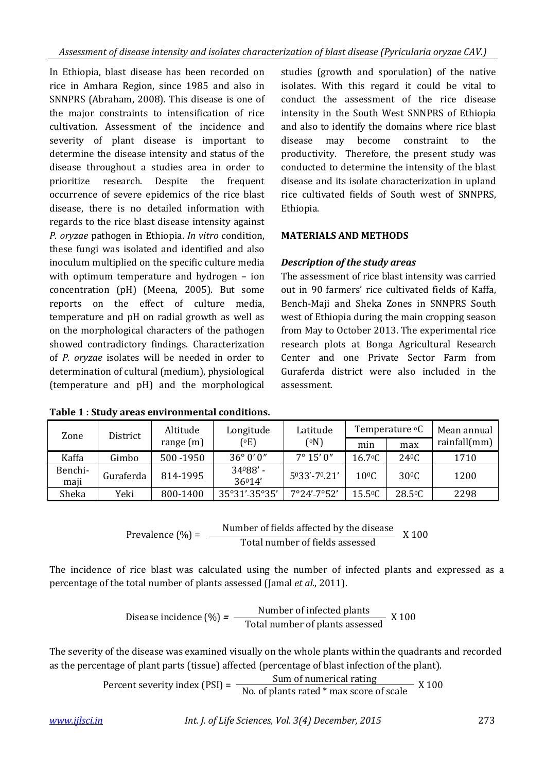In Ethiopia, blast disease has been recorded on rice in Amhara Region, since 1985 and also in SNNPRS (Abraham, 2008). This disease is one of the major constraints to intensification of rice cultivation. Assessment of the incidence and severity of plant disease is important to determine the disease intensity and status of the disease throughout a studies area in order to prioritize research. Despite the frequent occurrence of severe epidemics of the rice blast disease, there is no detailed information with regards to the rice blast disease intensity against *P. oryzae* pathogen in Ethiopia. *In vitro* condition, these fungi was isolated and identified and also inoculum multiplied on the specific culture media with optimum temperature and hydrogen – ion concentration (pH) (Meena, 2005). But some reports on the effect of culture media, temperature and pH on radial growth as well as on the morphological characters of the pathogen showed contradictory findings. Characterization of *P. oryzae* isolates will be needed in order to determination of cultural (medium), physiological (temperature and pH) and the morphological

studies (growth and sporulation) of the native isolates. With this regard it could be vital to conduct the assessment of the rice disease intensity in the South West SNNPRS of Ethiopia and also to identify the domains where rice blast disease may become constraint to the productivity. Therefore, the present study was conducted to determine the intensity of the blast disease and its isolate characterization in upland rice cultivated fields of South west of SNNPRS, Ethiopia.

## **MATERIALS AND METHODS**

## *Description of the study areas*

The assessment of rice blast intensity was carried out in 90 farmers' rice cultivated fields of Kaffa, Bench-Maji and Sheka Zones in SNNPRS South west of Ethiopia during the main cropping season from May to October 2013. The experimental rice research plots at Bonga Agricultural Research Center and one Private Sector Farm from Guraferda district were also included in the assessment.

| Zone            | District  | Altitude    | Longitude         | Latitude            |                  | Temperature <sup>o</sup> C | Mean annual  |  |
|-----------------|-----------|-------------|-------------------|---------------------|------------------|----------------------------|--------------|--|
|                 |           | range $(m)$ | $^{\circ}$ E)     | (°N)                | min              | max                        | rainfall(mm) |  |
| Kaffa           | Gimbo     | 500 - 1950  | $36^{\circ}0'0''$ | $7^{\circ} 15' 0''$ | $16.7$ °C        | 240C                       | 1710         |  |
| Benchi-<br>maji | Guraferda | 814-1995    | 34088'-<br>36014' | 5033'-70.21'        | $10^{\circ}$ C   | $30^{\circ}$ C             | 1200         |  |
| Sheka           | Yeki      | 800-1400    | 35°31'-35°35'     | $7°24' - 7°52'$     | $15.5^{\circ}$ C | $28.5^{\circ}$ C           | 2298         |  |

**Table 1 : Study areas environmental conditions.**

$$
Prevalence (%) = \frac{Number of fields affected by the disease}{Total number of fields assessed} \times 100
$$

The incidence of rice blast was calculated using the number of infected plants and expressed as a percentage of the total number of plants assessed (Jamal *et al*., 2011).

$$
Disease incidence (%) = \frac{Number of infected plants}{Total number of plants assessed} X 100
$$

The severity of the disease was examined visually on the whole plants within the quadrants and recorded as the percentage of plant parts (tissue) affected (percentage of blast infection of the plant).

Percent severity index (PSI) =  $\frac{\text{Sum of numerical rating}}{\text{No. of plants rated * max score of scale}}$  X 100

#### *www.ijlsci.in Int. J. of Life Sciences, Vol. 3(4) December, 2015* 273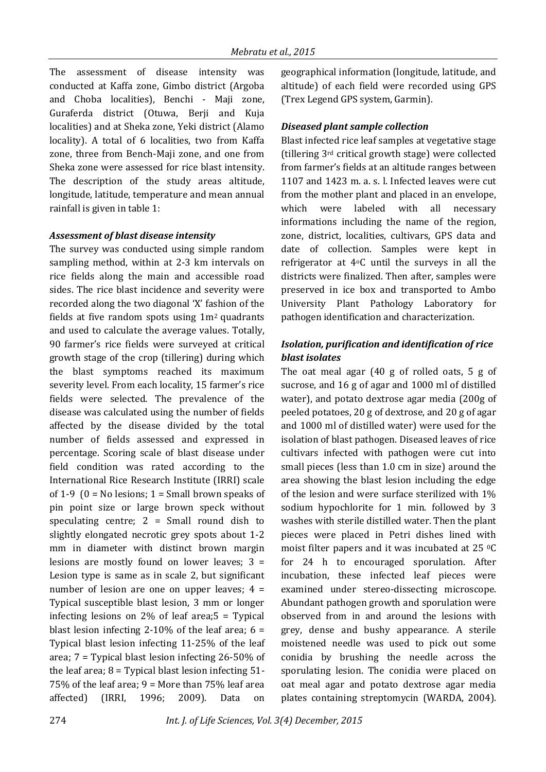The assessment of disease intensity was conducted at Kaffa zone, Gimbo district (Argoba and Choba localities), Benchi - Maji zone, Guraferda district (Otuwa, Berji and Kuja localities) and at Sheka zone, Yeki district (Alamo locality). A total of 6 localities, two from Kaffa zone, three from Bench-Maji zone, and one from Sheka zone were assessed for rice blast intensity. The description of the study areas altitude, longitude, latitude, temperature and mean annual rainfall is given in table 1:

## *Assessment of blast disease intensity*

The survey was conducted using simple random sampling method, within at 2-3 km intervals on rice fields along the main and accessible road sides. The rice blast incidence and severity were recorded along the two diagonal 'X' fashion of the fields at five random spots using 1m2 quadrants and used to calculate the average values. Totally, 90 farmer's rice fields were surveyed at critical growth stage of the crop (tillering) during which the blast symptoms reached its maximum severity level. From each locality, 15 farmer's rice fields were selected. The prevalence of the disease was calculated using the number of fields affected by the disease divided by the total number of fields assessed and expressed in percentage. Scoring scale of blast disease under field condition was rated according to the International Rice Research Institute (IRRI) scale of 1-9 ( $0 = No$  lesions; 1 = Small brown speaks of pin point size or large brown speck without speculating centre;  $2 = Small$  round dish to slightly elongated necrotic grey spots about 1-2 mm in diameter with distinct brown margin lesions are mostly found on lower leaves; 3 = Lesion type is same as in scale 2, but significant number of lesion are one on upper leaves;  $4 =$ Typical susceptible blast lesion, 3 mm or longer infecting lesions on 2% of leaf area;5 = Typical blast lesion infecting 2-10% of the leaf area;  $6 =$ Typical blast lesion infecting 11-25% of the leaf area; 7 = Typical blast lesion infecting 26-50% of the leaf area;  $8 =$  Typical blast lesion infecting  $51 -$ 75% of the leaf area; 9 = More than 75% leaf area affected) (IRRI, 1996; 2009). Data on

geographical information (longitude, latitude, and altitude) of each field were recorded using GPS (Trex Legend GPS system, Garmin).

## *Diseased plant sample collection*

Blast infected rice leaf samples at vegetative stage (tillering 3rd critical growth stage) were collected from farmer's fields at an altitude ranges between 1107 and 1423 m. a. s. l. Infected leaves were cut from the mother plant and placed in an envelope, which were labeled with all necessary informations including the name of the region, zone, district, localities, cultivars, GPS data and date of collection. Samples were kept in refrigerator at 4oC until the surveys in all the districts were finalized. Then after, samples were preserved in ice box and transported to Ambo University Plant Pathology Laboratory for pathogen identification and characterization.

## *Isolation, purification and identification of rice blast isolates*

The oat meal agar (40 g of rolled oats, 5 g of sucrose, and 16 g of agar and 1000 ml of distilled water), and potato dextrose agar media (200g of peeled potatoes, 20 g of dextrose, and 20 g of agar and 1000 ml of distilled water) were used for the isolation of blast pathogen. Diseased leaves of rice cultivars infected with pathogen were cut into small pieces (less than 1.0 cm in size) around the area showing the blast lesion including the edge of the lesion and were surface sterilized with 1% sodium hypochlorite for 1 min. followed by 3 washes with sterile distilled water. Then the plant pieces were placed in Petri dishes lined with moist filter papers and it was incubated at 25 0C for 24 h to encouraged sporulation. After incubation, these infected leaf pieces were examined under stereo-dissecting microscope. Abundant pathogen growth and sporulation were observed from in and around the lesions with grey, dense and bushy appearance*.* A sterile moistened needle was used to pick out some conidia by brushing the needle across the sporulating lesion. The conidia were placed on oat meal agar and potato dextrose agar media plates containing streptomycin (WARDA, 2004).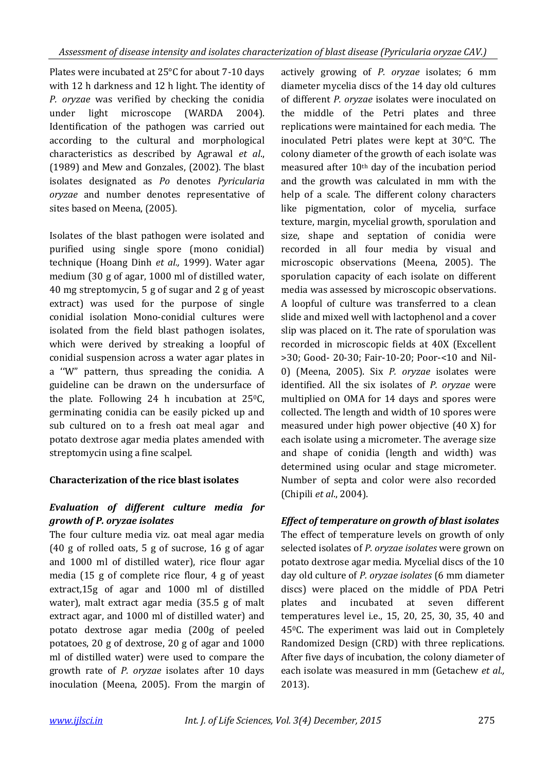Plates were incubated at 25°C for about 7-10 days with 12 h darkness and 12 h light. The identity of *P. oryzae* was verified by checking the conidia under light microscope (WARDA 2004). Identification of the pathogen was carried out according to the cultural and morphological characteristics as described by Agrawal *et al*., (1989) and Mew and Gonzales, (2002). The blast isolates designated as *Po* denotes *Pyricularia oryzae* and number denotes representative of sites based on Meena, (2005).

Isolates of the blast pathogen were isolated and purified using single spore (mono conidial) technique (Hoang Dinh *et al.,* 1999). Water agar medium (30 g of agar, 1000 ml of distilled water, 40 mg streptomycin, 5 g of sugar and 2 g of yeast extract) was used for the purpose of single conidial isolation Mono-conidial cultures were isolated from the field blast pathogen isolates, which were derived by streaking a loopful of conidial suspension across a water agar plates in a ''W" pattern, thus spreading the conidia. A guideline can be drawn on the undersurface of the plate. Following 24 h incubation at  $25^{\circ}$ C, germinating conidia can be easily picked up and sub cultured on to a fresh oat meal agar and potato dextrose agar media plates amended with streptomycin using a fine scalpel.

# **Characterization of the rice blast isolates**

# *Evaluation of different culture media for growth of P. oryzae isolates*

The four culture media viz. oat meal agar media (40 g of rolled oats, 5 g of sucrose, 16 g of agar and 1000 ml of distilled water), rice flour agar media (15 g of complete rice flour, 4 g of yeast extract,15g of agar and 1000 ml of distilled water), malt extract agar media (35.5 g of malt extract agar, and 1000 ml of distilled water) and potato dextrose agar media (200g of peeled potatoes, 20 g of dextrose, 20 g of agar and 1000 ml of distilled water) were used to compare the growth rate of *P. oryzae* isolates after 10 days inoculation (Meena, 2005). From the margin of

actively growing of *P. oryzae* isolates; 6 mm diameter mycelia discs of the 14 day old cultures of different *P. oryzae* isolates were inoculated on the middle of the Petri plates and three replications were maintained for each media. The inoculated Petri plates were kept at 30°C. The colony diameter of the growth of each isolate was measured after 10th day of the incubation period and the growth was calculated in mm with the help of a scale. The different colony characters like pigmentation, color of mycelia, surface texture, margin, mycelial growth, sporulation and size, shape and septation of conidia were recorded in all four media by visual and microscopic observations (Meena, 2005). The sporulation capacity of each isolate on different media was assessed by microscopic observations. A loopful of culture was transferred to a clean slide and mixed well with lactophenol and a cover slip was placed on it. The rate of sporulation was recorded in microscopic fields at 40X (Excellent >30; Good- 20-30; Fair-10-20; Poor-<10 and Nil-0) (Meena, 2005). Six *P. oryzae* isolates were identified. All the six isolates of *P. oryzae* were multiplied on OMA for 14 days and spores were collected. The length and width of 10 spores were measured under high power objective (40 X) for each isolate using a micrometer. The average size and shape of conidia (length and width) was determined using ocular and stage micrometer. Number of septa and color were also recorded (Chipili *et al*., 2004).

# *Effect of temperature on growth of blast isolates*

The effect of temperature levels on growth of only selected isolates of *P. oryzae isolates* were grown on potato dextrose agar media. Mycelial discs of the 10 day old culture of *P. oryzae isolates* (6 mm diameter discs) were placed on the middle of PDA Petri plates and incubated at seven different temperatures level i.e., 15, 20, 25, 30, 35, 40 and 450C. The experiment was laid out in Completely Randomized Design (CRD) with three replications. After five days of incubation, the colony diameter of each isolate was measured in mm (Getachew *et al.,* 2013).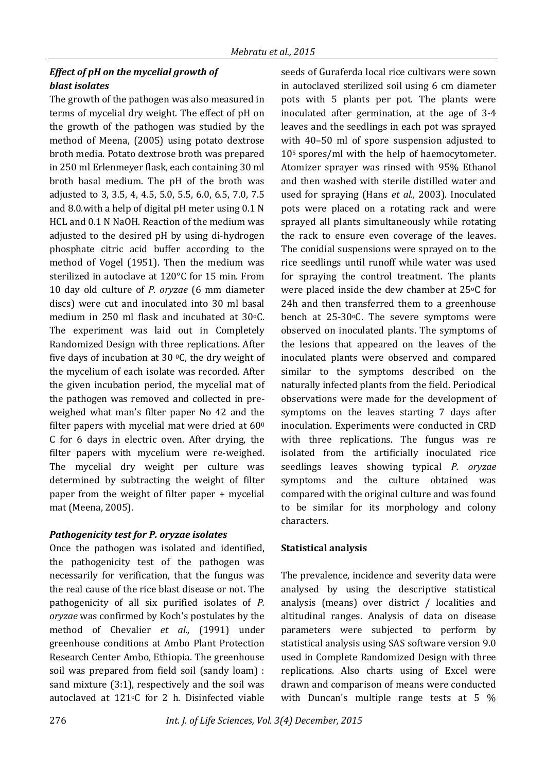## *Effect of pH on the mycelial growth of blast isolates*

The growth of the pathogen was also measured in terms of mycelial dry weight. The effect of pH on the growth of the pathogen was studied by the method of Meena, (2005) using potato dextrose broth media. Potato dextrose broth was prepared in 250 ml Erlenmeyer flask, each containing 30 ml broth basal medium. The pH of the broth was adjusted to 3, 3.5, 4, 4.5, 5.0, 5.5, 6.0, 6.5, 7.0, 7.5 and 8.0.with a help of digital pH meter using 0.1 N HCL and 0.1 N NaOH. Reaction of the medium was adjusted to the desired pH by using di-hydrogen phosphate citric acid buffer according to the method of Vogel (1951). Then the medium was sterilized in autoclave at 120°C for 15 min. From 10 day old culture of *P. oryzae* (6 mm diameter discs) were cut and inoculated into 30 ml basal medium in 250 ml flask and incubated at 30 °C. The experiment was laid out in Completely Randomized Design with three replications. After five days of incubation at 30  $\degree$ C, the dry weight of the mycelium of each isolate was recorded. After the given incubation period, the mycelial mat of the pathogen was removed and collected in preweighed what man's filter paper No 42 and the filter papers with mycelial mat were dried at  $60^{\circ}$ C for 6 days in electric oven. After drying, the filter papers with mycelium were re-weighed. The mycelial dry weight per culture was determined by subtracting the weight of filter paper from the weight of filter paper + mycelial mat (Meena, 2005).

## *Pathogenicity test for P. oryzae isolates*

Once the pathogen was isolated and identified, the pathogenicity test of the pathogen was necessarily for verification, that the fungus was the real cause of the rice blast disease or not. The pathogenicity of all six purified isolates of *P. oryzae* was confirmed by Koch's postulates by the method of Chevalier *et al.,* (1991) under greenhouse conditions at Ambo Plant Protection Research Center Ambo, Ethiopia. The greenhouse soil was prepared from field soil (sandy loam) : sand mixture (3:1), respectively and the soil was autoclaved at 121oC for 2 h. Disinfected viable seeds of Guraferda local rice cultivars were sown in autoclaved sterilized soil using 6 cm diameter pots with 5 plants per pot. The plants were inoculated after germination, at the age of 3-4 leaves and the seedlings in each pot was sprayed with 40–50 ml of spore suspension adjusted to 105 spores/ml with the help of haemocytometer. Atomizer sprayer was rinsed with 95% Ethanol and then washed with sterile distilled water and used for spraying (Hans *et al.,* 2003). Inoculated pots were placed on a rotating rack and were sprayed all plants simultaneously while rotating the rack to ensure even coverage of the leaves. The conidial suspensions were sprayed on to the rice seedlings until runoff while water was used for spraying the control treatment. The plants were placed inside the dew chamber at 25°C for 24h and then transferred them to a greenhouse bench at 25-30 °C. The severe symptoms were observed on inoculated plants. The symptoms of the lesions that appeared on the leaves of the inoculated plants were observed and compared similar to the symptoms described on the naturally infected plants from the field. Periodical observations were made for the development of symptoms on the leaves starting 7 days after inoculation. Experiments were conducted in CRD with three replications. The fungus was re isolated from the artificially inoculated rice seedlings leaves showing typical *P. oryzae*  symptoms and the culture obtained was compared with the original culture and was found to be similar for its morphology and colony characters.

## **Statistical analysis**

The prevalence, incidence and severity data were analysed by using the descriptive statistical analysis (means) over district / localities and altitudinal ranges. Analysis of data on disease parameters were subjected to perform by statistical analysis using SAS software version 9.0 used in Complete Randomized Design with three replications. Also charts using of Excel were drawn and comparison of means were conducted with Duncan's multiple range tests at 5 %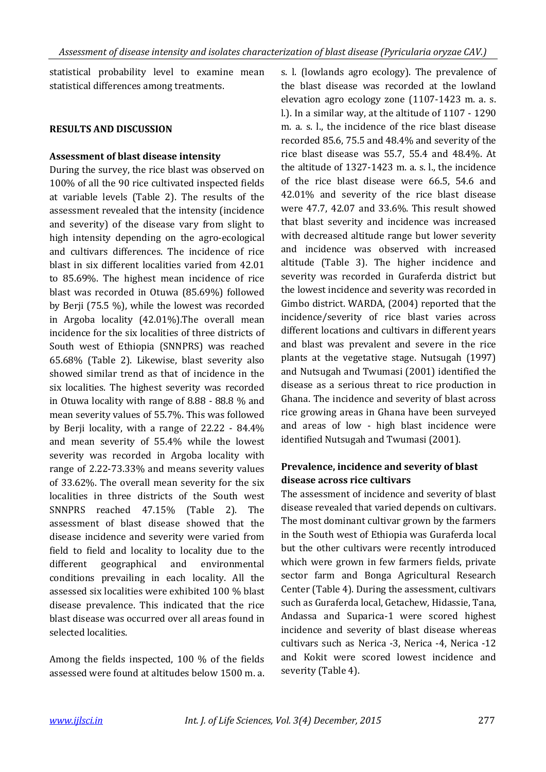statistical probability level to examine mean statistical differences among treatments.

#### **RESULTS AND DISCUSSION**

#### **Assessment of blast disease intensity**

During the survey, the rice blast was observed on 100% of all the 90 rice cultivated inspected fields at variable levels (Table 2). The results of the assessment revealed that the intensity (incidence and severity) of the disease vary from slight to high intensity depending on the agro-ecological and cultivars differences. The incidence of rice blast in six different localities varied from 42.01 to 85.69%. The highest mean incidence of rice blast was recorded in Otuwa (85.69%) followed by Berji (75.5 %), while the lowest was recorded in Argoba locality (42.01%).The overall mean incidence for the six localities of three districts of South west of Ethiopia (SNNPRS) was reached 65.68% (Table 2). Likewise, blast severity also showed similar trend as that of incidence in the six localities. The highest severity was recorded in Otuwa locality with range of 8.88 - 88.8 % and mean severity values of 55.7%. This was followed by Berji locality, with a range of 22.22 - 84.4% and mean severity of 55.4% while the lowest severity was recorded in Argoba locality with range of 2.22-73.33% and means severity values of 33.62%. The overall mean severity for the six localities in three districts of the South west SNNPRS reached 47.15% (Table 2). The assessment of blast disease showed that the disease incidence and severity were varied from field to field and locality to locality due to the different geographical and environmental conditions prevailing in each locality. All the assessed six localities were exhibited 100 % blast disease prevalence. This indicated that the rice blast disease was occurred over all areas found in selected localities.

Among the fields inspected, 100 % of the fields assessed were found at altitudes below 1500 m. a.

s. l. (lowlands agro ecology). The prevalence of the blast disease was recorded at the lowland elevation agro ecology zone (1107-1423 m. a. s. l.). In a similar way, at the altitude of 1107 - 1290 m. a. s. l., the incidence of the rice blast disease recorded 85.6, 75.5 and 48.4% and severity of the rice blast disease was 55.7, 55.4 and 48.4%. At the altitude of 1327-1423 m. a. s. l., the incidence of the rice blast disease were 66.5, 54.6 and 42.01% and severity of the rice blast disease were 47.7, 42.07 and 33.6%. This result showed that blast severity and incidence was increased with decreased altitude range but lower severity and incidence was observed with increased altitude (Table 3). The higher incidence and severity was recorded in Guraferda district but the lowest incidence and severity was recorded in Gimbo district. WARDA, (2004) reported that the incidence/severity of rice blast varies across different locations and cultivars in different years and blast was prevalent and severe in the rice plants at the vegetative stage. Nutsugah (1997) and Nutsugah and Twumasi (2001) identified the disease as a serious threat to rice production in Ghana. The incidence and severity of blast across rice growing areas in Ghana have been surveyed and areas of low - high blast incidence were identified Nutsugah and Twumasi (2001).

## **Prevalence, incidence and severity of blast disease across rice cultivars**

The assessment of incidence and severity of blast disease revealed that varied depends on cultivars. The most dominant cultivar grown by the farmers in the South west of Ethiopia was Guraferda local but the other cultivars were recently introduced which were grown in few farmers fields, private sector farm and Bonga Agricultural Research Center (Table 4). During the assessment, cultivars such as Guraferda local, Getachew, Hidassie, Tana, Andassa and Suparica-1 were scored highest incidence and severity of blast disease whereas cultivars such as Nerica -3, Nerica -4, Nerica -12 and Kokit were scored lowest incidence and severity (Table 4).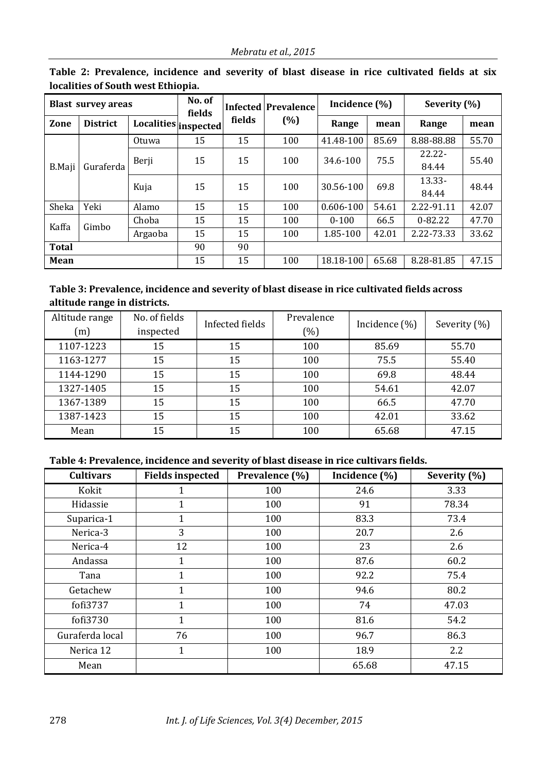|               | <b>Blast survey areas</b> |                      | No. of<br>fields |        | <b>Infected Prevalence</b> | Incidence (%) |       | Severity (%) |       |  |
|---------------|---------------------------|----------------------|------------------|--------|----------------------------|---------------|-------|--------------|-------|--|
| Zone          | <b>District</b>           | Localities inspected |                  | fields | (%)                        | Range         | mean  | Range        | mean  |  |
|               |                           | Otuwa                | 15               | 15     | 100                        | 41.48-100     | 85.69 | 8.88-88.88   | 55.70 |  |
|               |                           | Berji                | 15               | 15     | 100                        | 34.6-100      | 75.5  | $22.22 -$    | 55.40 |  |
| <b>B.Maji</b> | Guraferda                 |                      |                  |        |                            |               |       | 84.44        |       |  |
|               |                           | Kuja                 | 15               | 15     | 100                        | 30.56-100     | 69.8  | 13.33-       | 48.44 |  |
|               |                           |                      |                  |        |                            |               |       | 84.44        |       |  |
| Sheka         | Yeki                      | Alamo                | 15               | 15     | 100                        | 0.606-100     | 54.61 | 2.22-91.11   | 42.07 |  |
| Kaffa         | Gimbo                     | Choba                | 15               | 15     | 100                        | $0 - 100$     | 66.5  | $0 - 82.22$  | 47.70 |  |
|               |                           | Argaoba              | 15               | 15     | 100                        | 1.85-100      | 42.01 | 2.22-73.33   | 33.62 |  |
| Total         |                           |                      | 90               | 90     |                            |               |       |              |       |  |
| Mean          |                           |                      | 15               | 15     | 100                        | 18.18-100     | 65.68 | 8.28-81.85   | 47.15 |  |

**Table 2: Prevalence, incidence and severity of blast disease in rice cultivated fields at six localities of South west Ethiopia.**

## **Table 3: Prevalence, incidence and severity of blast disease in rice cultivated fields across altitude range in districts.**

| Altitude range<br>(m) | No. of fields<br>inspected | Infected fields | Prevalence<br>$(\%)$ | Incidence $(\%)$ | Severity (%) |
|-----------------------|----------------------------|-----------------|----------------------|------------------|--------------|
| 1107-1223             | 15                         | 15              | 100                  | 85.69            | 55.70        |
| 1163-1277             | 15                         | 15              | 100                  | 75.5             | 55.40        |
| 1144-1290             | 15                         | 15              | 100                  | 69.8             | 48.44        |
| 1327-1405             | 15                         | 15              | 100                  | 54.61            | 42.07        |
| 1367-1389             | 15                         | 15              | 100                  | 66.5             | 47.70        |
| 1387-1423             | 15                         | 15              | 100                  | 42.01            | 33.62        |
| Mean                  | 15                         | 15              | 100                  | 65.68            | 47.15        |

## **Table 4: Prevalence, incidence and severity of blast disease in rice cultivars fields.**

| <b>Cultivars</b> | <b>Fields inspected</b> | Prevalence (%) | Incidence (%) | Severity (%) |
|------------------|-------------------------|----------------|---------------|--------------|
| Kokit            | $\mathbf{1}$            | 100            | 24.6          | 3.33         |
| Hidassie         |                         | 100            | 91            | 78.34        |
| Suparica-1       | $\mathbf{1}$            | 100            | 83.3          | 73.4         |
| Nerica-3         | 3                       | 100            | 20.7          | 2.6          |
| Nerica-4         | 12                      | 100            | 23            | 2.6          |
| Andassa          | 1                       | 100            | 87.6          | 60.2         |
| Tana             | $\mathbf{1}$            | 100            | 92.2          | 75.4         |
| Getachew         | $\mathbf 1$             | 100            | 94.6          | 80.2         |
| fofi3737         | $\mathbf{1}$            | 100            | 74            | 47.03        |
| fofi3730         | $\mathbf{1}$            | 100            | 81.6          | 54.2         |
| Guraferda local  | 76                      | 100            | 96.7          | 86.3         |
| Nerica 12        | $\mathbf 1$             | 100            | 18.9          | 2.2          |
| Mean             |                         |                | 65.68         | 47.15        |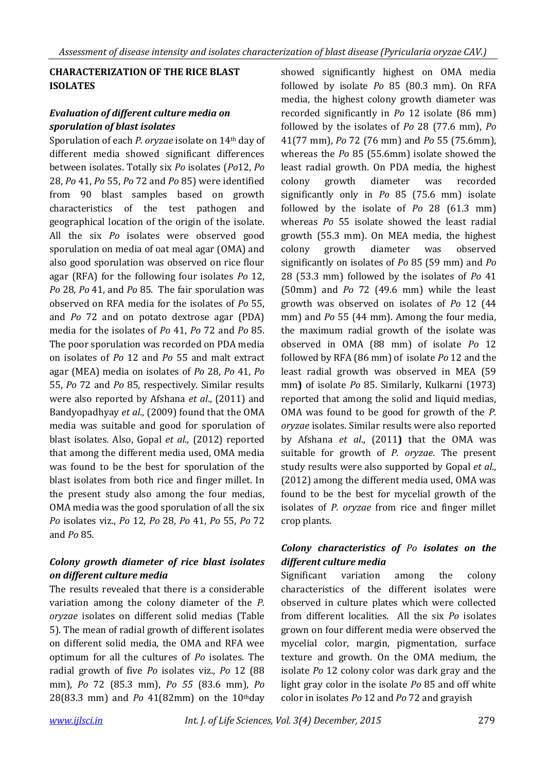## **CHARACTERIZATION OF THE RICE BLAST ISOLATES**

## *Evaluation of different culture media on sporulation of blast isolates*

Sporulation of each *P. oryzae* isolate on 14th day of different media showed significant differences between isolates. Totally six *Po* isolates (*Po*12, *Po* 28, *Po* 41, *Po* 55, *Po* 72 and *Po* 85) were identified from 90 blast samples based on growth characteristics of the test pathogen and geographical location of the origin of the isolate. All the six *Po* isolates were observed good sporulation on media of oat meal agar (OMA) and also good sporulation was observed on rice flour agar (RFA) for the following four isolates *Po* 12, *Po* 28, *Po* 41, and *Po* 85. The fair sporulation was observed on RFA media for the isolates of *Po* 55, and *Po* 72 and on potato dextrose agar (PDA) media for the isolates of *Po* 41, *Po* 72 and *Po* 85. The poor sporulation was recorded on PDA media on isolates of *Po* 12 and *Po* 55 and malt extract agar (MEA) media on isolates of *Po* 28, *Po* 41, *Po* 55, *Po* 72 and *Po* 85, respectively. Similar results were also reported by Afshana *et al*., (2011) and Bandyopadhyay *et al*., (2009) found that the OMA media was suitable and good for sporulation of blast isolates*.* Also, Gopal *et al*., (2012) reported that among the different media used, OMA media was found to be the best for sporulation of the blast isolates from both rice and finger millet. In the present study also among the four medias, OMA media was the good sporulation of all the six *Po* isolates viz., *Po* 12, *Po* 28, *Po* 41, *Po* 55, *Po* 72 and *Po* 85.

## *Colony growth diameter of rice blast isolates on different culture media*

The results revealed that there is a considerable variation among the colony diameter of the *P. oryzae* isolates on different solid medias (Table 5). The mean of radial growth of different isolates on different solid media, the OMA and RFA wee optimum for all the cultures of *Po* isolates. The radial growth of five *Po* isolates viz., *Po* 12 (88 mm), *Po* 72 (85.3 mm), *Po 55* (83.6 mm), *Po* 28(83.3 mm) and *Po* 41(82mm) on the 10thday showed significantly highest on OMA media followed by isolate *Po* 85 (80.3 mm). On RFA media, the highest colony growth diameter was recorded significantly in *Po* 12 isolate (86 mm) followed by the isolates of *Po* 28 (77.6 mm), *Po* 41(77 mm), *Po* 72 (76 mm) and *Po* 55 (75.6mm), whereas the *Po* 85 (55.6mm) isolate showed the least radial growth. On PDA media, the highest colony growth diameter was recorded significantly only in *Po* 85 (75.6 mm) isolate followed by the isolate of *Po* 28 (61.3 mm) whereas *Po* 55 isolate showed the least radial growth (55.3 mm). On MEA media, the highest colony growth diameter was observed significantly on isolates of *Po* 85 (59 mm) and *Po* 28 (53.3 mm) followed by the isolates of *Po* 41 (50mm) and *Po* 72 (49.6 mm) while the least growth was observed on isolates of *Po* 12 (44 mm) and *Po* 55 (44 mm). Among the four media, the maximum radial growth of the isolate was observed in OMA (88 mm) of isolate *Po* 12 followed by RFA (86 mm) of isolate *Po* 12 and the least radial growth was observed in MEA (59 mm**)** of isolate *Po* 85. Similarly, Kulkarni (1973) reported that among the solid and liquid medias, OMA was found to be good for growth of the *P. oryzae* isolates. Similar results were also reported by Afshana *et al*., (2011**)** that the OMA was suitable for growth of *P. oryzae*. The present study results were also supported by Gopal *et al*., (2012) among the different media used, OMA was found to be the best for mycelial growth of the isolates of *P. oryzae* from rice and finger millet crop plants.

## *Colony characteristics of Po isolates on the different culture media*

Significant variation among the colony characteristics of the different isolates were observed in culture plates which were collected from different localities. All the six *Po* isolates grown on four different media were observed the mycelial color, margin, pigmentation, surface texture and growth. On the OMA medium, the isolate *Po* 12 colony color was dark gray and the light gray color in the isolate *Po* 85 and off white color in isolates *Po* 12 and *Po* 72 and grayish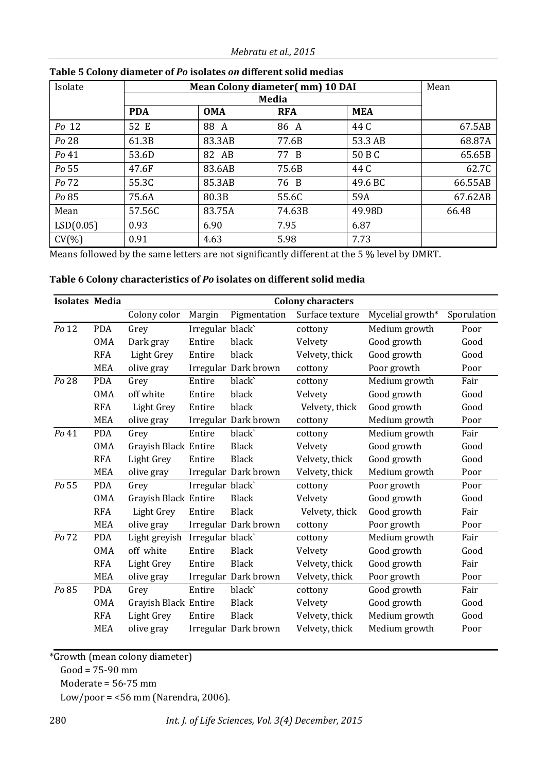*Mebratu et al., 2015*

| Isolate   |            | <b>Mean Colony diameter(mm) 10 DAI</b> | Mean         |            |         |
|-----------|------------|----------------------------------------|--------------|------------|---------|
|           |            |                                        | <b>Media</b> |            |         |
|           | <b>PDA</b> | <b>OMA</b>                             | <b>RFA</b>   | <b>MEA</b> |         |
| Po 12     | 52 E       | 88 A                                   | 86 A         | 44 C       | 67.5AB  |
| Po 28     | 61.3B      | 83.3AB                                 | 77.6B        | 53.3 AB    | 68.87A  |
| Po 41     | 53.6D      | 82 AB                                  | 77 B         | 50 B C     | 65.65B  |
| Po 55     | 47.6F      | 83.6AB                                 | 75.6B        | 44 C       | 62.7C   |
| Po 72     | 55.3C      | 85.3AB                                 | 76 B         | 49.6 BC    | 66.55AB |
| Po 85     | 75.6A      | 80.3B                                  | 55.6C        | 59A        | 67.62AB |
| Mean      | 57.56C     | 83.75A                                 | 74.63B       | 49.98D     | 66.48   |
| LSD(0.05) | 0.93       | 6.90                                   | 7.95         | 6.87       |         |
| CV(% )    | 0.91       | 4.63                                   | 5.98         | 7.73       |         |

#### **Table 5 Colony diameter of** *Po* **isolates** *on* **different solid medias**

Means followed by the same letters are not significantly different at the 5 % level by DMRT.

## **Table 6 Colony characteristics of** *Po* **isolates on different solid media**

| <b>Isolates Media</b> |            |                      |                  |                      | <b>Colony characters</b> |                  |             |
|-----------------------|------------|----------------------|------------------|----------------------|--------------------------|------------------|-------------|
|                       |            | Colony color         | Margin           | Pigmentation         | Surface texture          | Mycelial growth* | Sporulation |
| Po 12                 | <b>PDA</b> | Grey                 | Irregular black` |                      | cottony                  | Medium growth    | Poor        |
|                       | <b>OMA</b> | Dark gray            | Entire           | black                | Velvety                  | Good growth      | Good        |
|                       | <b>RFA</b> | Light Grey           | Entire           | black                | Velvety, thick           | Good growth      | Good        |
|                       | <b>MEA</b> | olive gray           |                  | Irregular Dark brown | cottony                  | Poor growth      | Poor        |
| Po 28                 | <b>PDA</b> | Grey                 | Entire           | black`               | cottony                  | Medium growth    | Fair        |
|                       | <b>OMA</b> | off white            | Entire           | black                | Velvety                  | Good growth      | Good        |
|                       | <b>RFA</b> | Light Grey           | Entire           | black                | Velvety, thick           | Good growth      | Good        |
|                       | <b>MEA</b> | olive gray           |                  | Irregular Dark brown | cottony                  | Medium growth    | Poor        |
| Po 41                 | <b>PDA</b> | Grey                 | Entire           | black                | cottony                  | Medium growth    | Fair        |
|                       | <b>OMA</b> | Grayish Black Entire |                  | <b>Black</b>         | Velvety                  | Good growth      | Good        |
|                       | <b>RFA</b> | <b>Light Grey</b>    | Entire           | <b>Black</b>         | Velvety, thick           | Good growth      | Good        |
|                       | <b>MEA</b> | olive gray           |                  | Irregular Dark brown | Velvety, thick           | Medium growth    | Poor        |
| Po 55                 | <b>PDA</b> | Grey                 | Irregular black` |                      | cottony                  | Poor growth      | Poor        |
|                       | <b>OMA</b> | Grayish Black Entire |                  | <b>Black</b>         | Velvety                  | Good growth      | Good        |
|                       | <b>RFA</b> | Light Grey           | Entire           | <b>Black</b>         | Velvety, thick           | Good growth      | Fair        |
|                       | <b>MEA</b> | olive gray           |                  | Irregular Dark brown | cottony                  | Poor growth      | Poor        |
| Po 72                 | <b>PDA</b> | Light greyish        | Irregular black` |                      | cottony                  | Medium growth    | Fair        |
|                       | <b>OMA</b> | off white            | Entire           | <b>Black</b>         | Velvety                  | Good growth      | Good        |
|                       | <b>RFA</b> | Light Grey           | Entire           | <b>Black</b>         | Velvety, thick           | Good growth      | Fair        |
|                       | <b>MEA</b> | olive gray           |                  | Irregular Dark brown | Velvety, thick           | Poor growth      | Poor        |
| Po 85                 | <b>PDA</b> | Grey                 | Entire           | black                | cottony                  | Good growth      | Fair        |
|                       | <b>OMA</b> | Grayish Black Entire |                  | <b>Black</b>         | Velvety                  | Good growth      | Good        |
|                       | <b>RFA</b> | Light Grey           | Entire           | Black                | Velvety, thick           | Medium growth    | Good        |
|                       | <b>MEA</b> | olive gray           |                  | Irregular Dark brown | Velvety, thick           | Medium growth    | Poor        |

\*Growth (mean colony diameter)

Good = 75-90 mm

Moderate = 56-75 mm

Low/poor = <56 mm (Narendra, 2006).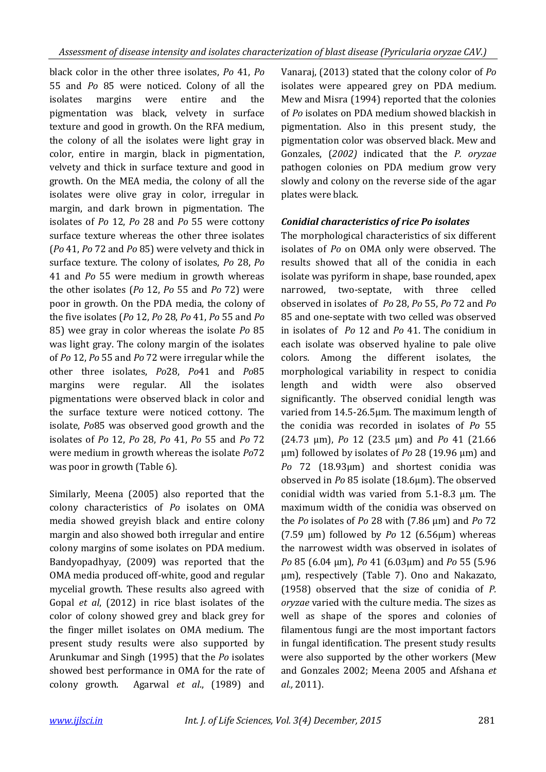black color in the other three isolates, *Po* 41, *Po* 55 and *Po* 85 were noticed. Colony of all the isolates margins were entire and the pigmentation was black, velvety in surface texture and good in growth. On the RFA medium, the colony of all the isolates were light gray in color, entire in margin, black in pigmentation, velvety and thick in surface texture and good in growth. On the MEA media, the colony of all the isolates were olive gray in color, irregular in margin, and dark brown in pigmentation. The isolates of *Po* 12, *Po* 28 and *Po* 55 were cottony surface texture whereas the other three isolates (*Po* 41, *Po* 72 and *Po* 85) were velvety and thick in surface texture. The colony of isolates, *Po* 28, *Po* 41 and *Po* 55 were medium in growth whereas the other isolates (*Po* 12, *Po* 55 and *Po* 72) were poor in growth. On the PDA media, the colony of the five isolates (*Po* 12, *Po* 28, *Po* 41, *Po* 55 and *Po* 85) wee gray in color whereas the isolate *Po* 85 was light gray. The colony margin of the isolates of *Po* 12, *Po* 55 and *Po* 72 were irregular while the other three isolates, *Po*28, *Po*41 and *Po*85 margins were regular. All the isolates pigmentations were observed black in color and the surface texture were noticed cottony. The isolate, *Po*85 was observed good growth and the isolates of *Po* 12, *Po* 28, *Po* 41, *Po* 55 and *Po* 72 were medium in growth whereas the isolate *Po*72 was poor in growth (Table 6).

Similarly, Meena (2005) also reported that the colony characteristics of *Po* isolates on OMA media showed greyish black and entire colony margin and also showed both irregular and entire colony margins of some isolates on PDA medium. Bandyopadhyay, (2009) was reported that the OMA media produced off-white, good and regular mycelial growth. These results also agreed with Gopal *et al*, (2012) in rice blast isolates of the color of colony showed grey and black grey for the finger millet isolates on OMA medium. The present study results were also supported by Arunkumar and Singh (1995) that the *Po* isolates showed best performance in OMA for the rate of colony growth. Agarwal *et al*., (1989) and

Vanaraj, (2013) stated that the colony color of *Po*  isolates were appeared grey on PDA medium. Mew and Misra (1994) reported that the colonies of *Po* isolates on PDA medium showed blackish in pigmentation. Also in this present study, the pigmentation color was observed black. Mew and Gonzales, (*2002)* indicated that the *P. oryzae*  pathogen colonies on PDA medium grow very slowly and colony on the reverse side of the agar plates were black.

## *Conidial characteristics of rice Po isolates*

The morphological characteristics of six different isolates of *Po* on OMA only were observed. The results showed that all of the conidia in each isolate was pyriform in shape, base rounded, apex narrowed, two-septate, with three celled observed in isolates of *Po* 28, *Po* 55, *Po* 72 and *Po* 85 and one-septate with two celled was observed in isolates of *Po* 12 and *Po* 41. The conidium in each isolate was observed hyaline to pale olive colors. Among the different isolates, the morphological variability in respect to conidia length and width were also observed significantly. The observed conidial length was varied from 14.5-26.5μm. The maximum length of the conidia was recorded in isolates of *Po* 55 (24.73 μm), *Po* 12 (23.5 μm) and *Po* 41 (21.66 μm) followed by isolates of *Po* 28 (19.96 μm) and *Po* 72 (18.93μm) and shortest conidia was observed in *Po* 85 isolate (18.6μm). The observed conidial width was varied from 5.1-8.3 μm. The maximum width of the conidia was observed on the *Po* isolates of *Po* 28 with (7.86 μm) and *Po* 72 (7.59 μm) followed by *Po* 12 (6.56μm) whereas the narrowest width was observed in isolates of *Po* 85 (6.04 μm), *Po* 41 (6.03μm) and *Po* 55 (5.96 μm), respectively (Table 7). Ono and Nakazato, (1958) observed that the size of conidia of *P. oryzae* varied with the culture media. The sizes as well as shape of the spores and colonies of filamentous fungi are the most important factors in fungal identification. The present study results were also supported by the other workers (Mew and Gonzales 2002; Meena 2005 and Afshana *et al.,* 2011).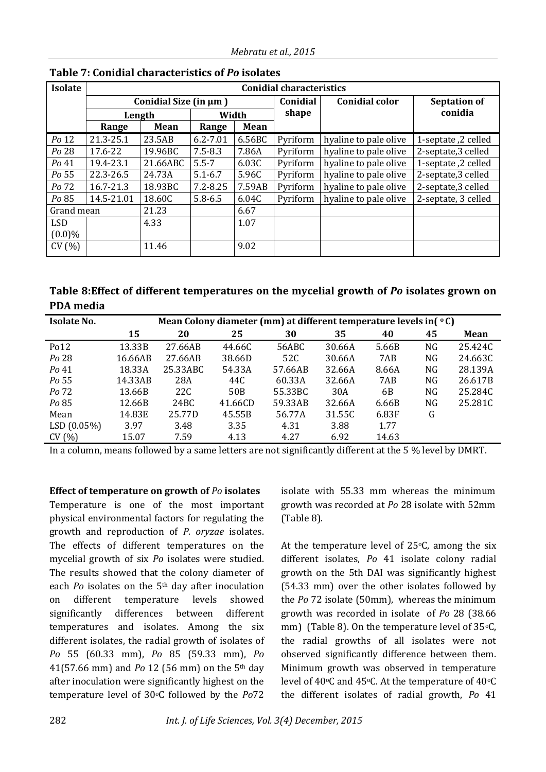| <b>Isolate</b> |                       |                       |              |        | <b>Conidial characteristics</b> |                       |                     |
|----------------|-----------------------|-----------------------|--------------|--------|---------------------------------|-----------------------|---------------------|
|                |                       | Conidial Size (in µm) |              |        | Conidial                        | <b>Conidial color</b> | <b>Septation of</b> |
|                | Length                |                       | Width        |        | shape                           |                       | conidia             |
|                | Mean<br>Range         |                       | Range        | Mean   |                                 |                       |                     |
| Po 12          | 21.3-25.1             | 23.5AB                | $6.2 - 7.01$ | 6.56BC | Pyriform                        | hyaline to pale olive | 1-septate, 2 celled |
| Po 28          | 17.6-22               | 19.96BC               | $7.5 - 8.3$  | 7.86A  | Pyriform                        | hyaline to pale olive | 2-septate,3 celled  |
| Po 41          | 19.4-23.1<br>21.66ABC |                       | $5.5 - 7$    | 6.03C  | Pyriform                        | hyaline to pale olive | 1-septate, 2 celled |
| Po 55          | 22.3-26.5<br>24.73A   |                       | $5.1 - 6.7$  | 5.96C  | Pyriform                        | hyaline to pale olive | 2-septate,3 celled  |
| Po 72          | 16.7-21.3             | 18.93BC               | $7.2 - 8.25$ | 7.59AB | Pyriform                        | hyaline to pale olive | 2-septate,3 celled  |
| Po 85          | 14.5-21.01            | 18.60C                | $5.8 - 6.5$  | 6.04C  | Pyriform                        | hyaline to pale olive | 2-septate, 3 celled |
| Grand mean     |                       | 21.23                 |              | 6.67   |                                 |                       |                     |
| <b>LSD</b>     |                       | 4.33                  |              | 1.07   |                                 |                       |                     |
| $(0.0)\%$      |                       |                       |              |        |                                 |                       |                     |
| CV(%)          |                       | 11.46                 |              | 9.02   |                                 |                       |                     |

## **Table 7: Conidial characteristics of** *Po* **isolates**

| Table 8: Effect of different temperatures on the mycelial growth of Po isolates grown on |  |
|------------------------------------------------------------------------------------------|--|
| PDA media                                                                                |  |

| <b>Isolate No.</b> | Mean Colony diameter (mm) at different temperature levels in( °C) |          |                 |         |        |       |    |         |  |  |  |
|--------------------|-------------------------------------------------------------------|----------|-----------------|---------|--------|-------|----|---------|--|--|--|
|                    | 15                                                                | 20       | 25              | 30      | 35     | 40    | 45 | Mean    |  |  |  |
| Po <sub>12</sub>   | 13.33B                                                            | 27.66AB  | 44.66C          | 56ABC   | 30.66A | 5.66B | NG | 25.424C |  |  |  |
| Po 28              | 16.66AB                                                           | 27.66AB  | 38.66D          | 52C     | 30.66A | 7AB   | NG | 24.663C |  |  |  |
| $Po$ 41            | 18.33A                                                            | 25.33ABC | 54.33A          | 57.66AB | 32.66A | 8.66A | NG | 28.139A |  |  |  |
| Po 55              | 14.33AB                                                           | 28A      | 44C             | 60.33A  | 32.66A | 7AB   | NG | 26.617B |  |  |  |
| Po 72              | 13.66B                                                            | 22C      | 50 <sub>B</sub> | 55.33BC | 30A    | 6B    | NG | 25.284C |  |  |  |
| Po 85              | 12.66B                                                            | 24BC     | 41.66CD         | 59.33AB | 32.66A | 6.66B | NG | 25.281C |  |  |  |
| Mean               | 14.83E                                                            | 25.77D   | 45.55B          | 56.77A  | 31.55C | 6.83F | G  |         |  |  |  |
| LSD(0.05%)         | 3.97                                                              | 3.48     | 3.35            | 4.31    | 3.88   | 1.77  |    |         |  |  |  |
| CV(%)              | 15.07                                                             | 7.59     | 4.13            | 4.27    | 6.92   | 14.63 |    |         |  |  |  |

In a column, means followed by a same letters are not significantly different at the 5 % level by DMRT.

**Effect of temperature on growth of** *Po* **isolates**

Temperature is one of the most important physical environmental factors for regulating the growth and reproduction of *P. oryzae* isolates. The effects of different temperatures on the mycelial growth of six *Po* isolates were studied. The results showed that the colony diameter of each *Po* isolates on the 5th day after inoculation on different temperature levels showed significantly differences between different temperatures and isolates. Among the six different isolates, the radial growth of isolates of *Po* 55 (60.33 mm), *Po* 85 (59.33 mm), *Po*  41(57.66 mm) and *Po* 12 (56 mm) on the 5th day after inoculation were significantly highest on the temperature level of 30oC followed by the *Po*72

isolate with 55.33 mm whereas the minimum growth was recorded at *Po* 28 isolate with 52mm (Table 8).

At the temperature level of  $25\degree$ C, among the six different isolates, *Po* 41 isolate colony radial growth on the 5th DAI was significantly highest (54.33 mm) over the other isolates followed by the *Po* 72 isolate (50mm), whereas the minimum growth was recorded in isolate of *Po* 28 (38.66 mm) (Table 8). On the temperature level of  $35°C$ , the radial growths of all isolates were not observed significantly difference between them. Minimum growth was observed in temperature level of 40°C and 45°C. At the temperature of 40°C the different isolates of radial growth, *Po* 41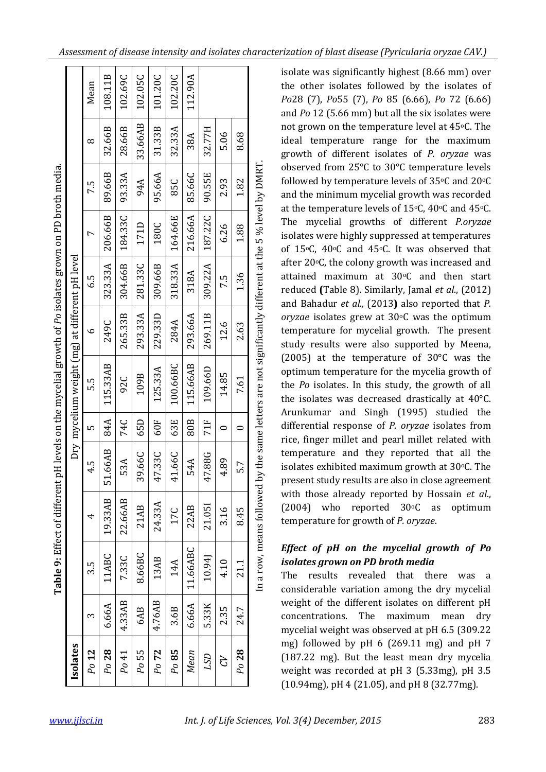| (Pyricularia org. Assement CAV) Assessment orysine CAV). Assessing to an isolate industance the cons |
|------------------------------------------------------------------------------------------------------|
|------------------------------------------------------------------------------------------------------|

Ē

|                                                                                                                              | Mean                     | 108.11B                  | 102.69C | 102.05C | 101.20C | 102.20C            | 112.90A  |         |           |         | isolate was significantly highest (0.00 mill) over<br>the other isolates followed by the isolates of<br>Po28 (7), Po55 (7), Po 85 (6.66), Po 72 (6.66)<br>and Po 12 (5.66 mm) but all the six isolates were                                                                |     |
|------------------------------------------------------------------------------------------------------------------------------|--------------------------|--------------------------|---------|---------|---------|--------------------|----------|---------|-----------|---------|----------------------------------------------------------------------------------------------------------------------------------------------------------------------------------------------------------------------------------------------------------------------------|-----|
|                                                                                                                              | $\infty$                 | 2.66B<br>3               | 28.66B  | 33.66AB | 31.33B  | 32.33A             | 38A      | 32.77H  | 5.06      | 8.68    | not grown on the temperature level at 45°C. The<br>ideal temperature range for the maximum<br>growth of different isolates of P. oryzae was                                                                                                                                |     |
|                                                                                                                              | 7.5                      | 89.66B                   | 93.33A  | 94A     | 95.66A  | 85C                | 85.66C   | 90.55E  | 2.93      | 1.82    | observed from 25°C to 30°C temperature levels<br>5 % level by DMRT<br>followed by temperature levels of 35°C and 20°C<br>and the minimum mycelial growth was recorded                                                                                                      |     |
|                                                                                                                              | $\overline{ }$           | 206.66B                  | 184.33C | 171D    | 180C    | 164.66E            | 216.66A  | 187.22C | 6.26      | 1.88    | at the temperature levels of 15°C, 40°C and 45°C.<br>The mycelial growths of different P.oryzae<br>isolates were highly suppressed at temperatures<br>of 15°C, 40°C and 45°C. It was observed that                                                                         |     |
| at different pH level                                                                                                        | 6.5                      | 323.33A                  | 304.66B | 281.33C | 309.66B | 18.33A<br>$\infty$ | 318A     | 309.22A | 7.5       | 1.36    | after 20°C, the colony growth was increased and<br>attained maximum at 30°C and then start<br>reduced (Table 8). Similarly, Jamal et al., (2012)                                                                                                                           |     |
|                                                                                                                              | $\circ$                  | 249C                     | 265.33B | 293.33A | 229.33D | 284A               | 293.66A  | 269.11B | 12.6      | 2.63    | and Bahadur et al., (2013) also reported that P.<br>oryzae isolates grew at $30^{\circ}$ C was the optimum<br>temperature for mycelial growth. The present<br>study results were also supported by Meena,                                                                  |     |
| Table 9: Effect of different pH levels on the mycelial growth of Po isolates grown on PD broth media<br>mycelium weight (mg) | ς.<br>Γ                  | 5.33AB<br>$\overline{1}$ | 92C     | 109B    | 125.33A | 100.66BC           | 115.66AB | 109.66D | 14.85     | 7.61    | by the same letters are not significantly different at the<br>(2005) at the temperature of $30^{\circ}$ C was the<br>optimum temperature for the mycelia growth of<br>the Po isolates. In this study, the growth of all<br>the isolates was decreased drastically at 40°C. |     |
|                                                                                                                              | LO.                      | 84A                      | 74C     | 65D     | 60F     | 63E                | 80B      | 71F     | $\circ$   | $\circ$ | Arunkumar and Singh (1995) studied the<br>differential response of P. oryzae isolates from<br>rice, finger millet and pearl millet related with                                                                                                                            |     |
| Dry                                                                                                                          | 4.5                      | 51.66AB                  | 53A     | 39.66C  | 47.33C  | 41.66C             | 54A      | 47.88G  | 4.89      | 5.7     | temperature and they reported that all the<br>isolates exhibited maximum growth at 30°C. The<br>present study results are also in close agreement                                                                                                                          |     |
|                                                                                                                              | $\overline{\phantom{0}}$ | 19.33AB                  | 22.66AB | 21AB    | 24.33A  | 17C                | 22AB     | 21.051  | 3.16      | 8.45    | with those already reported by Hossain et al.,<br>$(2004)$ who<br>reported 30°C as<br>optimum<br>temperature for growth of P. oryzae.                                                                                                                                      |     |
|                                                                                                                              | $3.\overline{5}$         | 11ABC                    | 7.33C   | 8.66BC  | 13AB    | 14A                | 11.66ABC | 10.94J  | 4.10      | 21.1    | In a row, means followed<br>Effect of pH on the mycelial growth of Po<br>isolates grown on PD broth media<br>results<br>The<br>revealed<br>that<br>there<br>was<br>considerable variation among the dry mycelial                                                           | - a |
|                                                                                                                              | $\infty$                 | 6.66A                    | 4.33AB  | 6AB     | 4.76AB  | 3.6B               | 6.66A    | 5.33K   | 2.35      | 24.7    | weight of the different isolates on different pH<br>The<br>maximum<br>concentrations.<br>mean<br>mycelial weight was observed at pH 6.5 (309.22                                                                                                                            | dry |
| Isolates                                                                                                                     | $\mathbf{12}$<br>$P_{O}$ | Po 28                    | Po41    | Po 55   | Po 72   | $Po$ 85            | Mean     | LSD     | <b>AD</b> | $P0$ 28 | mg) followed by pH 6 (269.11 mg) and pH 7<br>(187.22 mg). But the least mean dry mycelia<br>weight was recorded at pH 3 (5.33mg), pH 3.5<br>(10.94mg), pH 4 (21.05), and pH 8 (32.77mg).                                                                                   |     |
| <u>www.ijlsci.in</u>                                                                                                         |                          |                          |         |         |         |                    |          |         |           |         | Int. J. of Life Sciences, Vol. 3(4) December, 2015                                                                                                                                                                                                                         | 283 |

## *Effect of pH on the mycelial growth of Po isolates grown on PD broth media*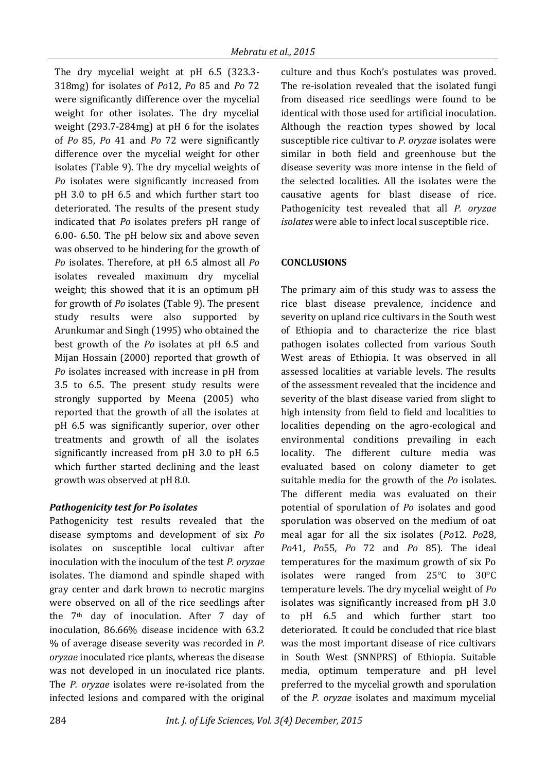The dry mycelial weight at pH 6.5 (323.3- 318mg) for isolates of *Po*12, *Po* 85 and *Po* 72 were significantly difference over the mycelial weight for other isolates. The dry mycelial weight (293.7-284mg) at pH 6 for the isolates of *Po* 85, *Po* 41 and *Po* 72 were significantly difference over the mycelial weight for other isolates (Table 9). The dry mycelial weights of *Po* isolates were significantly increased from pH 3.0 to pH 6.5 and which further start too deteriorated. The results of the present study indicated that *Po* isolates prefers pH range of 6.00- 6.50. The pH below six and above seven was observed to be hindering for the growth of *Po* isolates. Therefore, at pH 6.5 almost all *Po* isolates revealed maximum dry mycelial weight; this showed that it is an optimum pH for growth of *Po* isolates (Table 9). The present study results were also supported by Arunkumar and Singh (1995) who obtained the best growth of the *Po* isolates at pH 6.5 and Mijan Hossain (2000) reported that growth of *Po* isolates increased with increase in pH from 3.5 to 6.5. The present study results were strongly supported by Meena (2005) who reported that the growth of all the isolates at pH 6.5 was significantly superior, over other treatments and growth of all the isolates significantly increased from pH 3.0 to pH 6.5 which further started declining and the least growth was observed at pH 8.0.

# *Pathogenicity test for Po isolates*

Pathogenicity test results revealed that the disease symptoms and development of six *Po* isolates on susceptible local cultivar after inoculation with the inoculum of the test *P. oryzae*  isolates. The diamond and spindle shaped with gray center and dark brown to necrotic margins were observed on all of the rice seedlings after the 7th day of inoculation. After 7 day of inoculation, 86.66% disease incidence with 63.2 % of average disease severity was recorded in *P. oryzae* inoculated rice plants, whereas the disease was not developed in un inoculated rice plants. The *P. oryzae* isolates were re-isolated from the infected lesions and compared with the original

culture and thus Koch's postulates was proved. The re-isolation revealed that the isolated fungi from diseased rice seedlings were found to be identical with those used for artificial inoculation. Although the reaction types showed by local susceptible rice cultivar to *P. oryzae* isolates were similar in both field and greenhouse but the disease severity was more intense in the field of the selected localities. All the isolates were the causative agents for blast disease of rice. Pathogenicity test revealed that all *P. oryzae isolates* were able to infect local susceptible rice.

# **CONCLUSIONS**

The primary aim of this study was to assess the rice blast disease prevalence, incidence and severity on upland rice cultivars in the South west of Ethiopia and to characterize the rice blast pathogen isolates collected from various South West areas of Ethiopia. It was observed in all assessed localities at variable levels. The results of the assessment revealed that the incidence and severity of the blast disease varied from slight to high intensity from field to field and localities to localities depending on the agro-ecological and environmental conditions prevailing in each locality. The different culture media was evaluated based on colony diameter to get suitable media for the growth of the *Po* isolates. The different media was evaluated on their potential of sporulation of *Po* isolates and good sporulation was observed on the medium of oat meal agar for all the six isolates (*Po*12. *Po*28, *Po*41, *Po*55*, Po* 72 and *Po* 85). The ideal temperatures for the maximum growth of six Po isolates were ranged from 25°C to 30°C temperature levels. The dry mycelial weight of *Po*  isolates was significantly increased from pH 3.0 to pH 6.5 and which further start too deteriorated. It could be concluded that rice blast was the most important disease of rice cultivars in South West (SNNPRS) of Ethiopia. Suitable media, optimum temperature and pH level preferred to the mycelial growth and sporulation of the *P. oryzae* isolates and maximum mycelial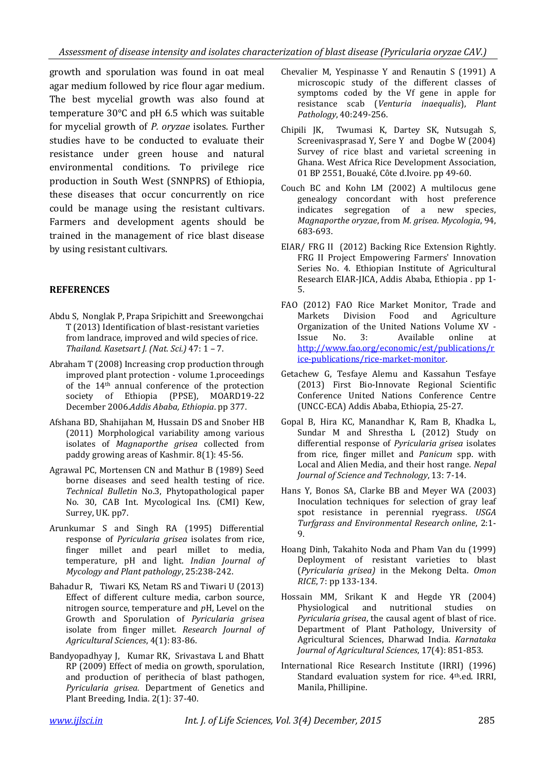growth and sporulation was found in oat meal agar medium followed by rice flour agar medium. The best mycelial growth was also found at temperature 30°C and pH 6.5 which was suitable for mycelial growth of *P. oryzae* isolates. Further studies have to be conducted to evaluate their resistance under green house and natural environmental conditions. To privilege rice production in South West (SNNPRS) of Ethiopia, these diseases that occur concurrently on rice could be manage using the resistant cultivars. Farmers and development agents should be trained in the management of rice blast disease by using resistant cultivars.

## **REFERENCES**

- Abdu S, Nonglak P, Prapa Sripichitt and Sreewongchai T (2013) Identification of blast-resistant varieties from landrace, improved and wild species of rice. *Thailand. Kasetsart J. (Nat. Sci.)* 47: 1 – 7.
- Abraham T (2008) Increasing crop production through improved plant protection - volume 1.proceedings of the 14th annual conference of the protection society of Ethiopia (PPSE), MOARD19-22 December 2006.*Addis Ababa, Ethiopia*. pp 377.
- Afshana BD, Shahijahan M, Hussain DS and Snober HB (2011) Morphological variability among various isolates of *Magnaporthe grisea* collected from paddy growing areas of Kashmir. 8(1): 45-56.
- Agrawal PC, Mortensen CN and Mathur B (1989) Seed borne diseases and seed health testing of rice. *Technical Bulletin* No.3, Phytopathological paper No. 30, CAB Int. Mycological Ins. (CMI) Kew, Surrey, UK. pp7.
- Arunkumar S and Singh RA (1995) Differential response of *Pyricularia grisea* isolates from rice, finger millet and pearl millet to media, temperature, pH and light. *Indian Journal of Mycology and Plant pathology*, 25:238-242.
- Bahadur R, Tiwari KS, Netam RS and Tiwari U (2013) Effect of different culture media, carbon source, nitrogen source, temperature and *p*H, Level on the Growth and Sporulation of *Pyricularia grisea*  isolate from finger millet*. Research Journal of Agricultural Sciences*, 4(1): 83-86.
- Bandyopadhyay J, Kumar RK, Srivastava L and Bhatt RP (2009) Effect of media on growth, sporulation, and production of perithecia of blast pathogen, *Pyricularia grisea.* Department of Genetics and Plant Breeding, India. 2(1): 37-40.
- Chevalier M, Yespinasse Y and Renautin S (1991) A microscopic study of the different classes of symptoms coded by the Vf gene in apple for resistance scab (*Venturia inaequalis*), *Plant Pathology*, 40:249-256.
- Chipili JK, Twumasi K, Dartey SK, Nutsugah S, Screenivasprasad Y, Sere Y and Dogbe W (2004) Survey of rice blast and varietal screening in Ghana. West Africa Rice Development Association, 01 BP 2551, Bouaké, Côte d.Ivoire*.* pp 49-60.
- Couch BC and Kohn LM (2002) A multilocus gene genealogy concordant with host preference indicates segregation of a new species, *Magnaporthe oryzae*, from *M. grisea*. *Mycologia*, 94, 683-693.
- EIAR/ FRG II (2012) Backing Rice Extension Rightly. FRG II Project Empowering Farmers' Innovation Series No. 4. Ethiopian Institute of Agricultural Research EIAR-JICA, Addis Ababa, Ethiopia . pp 1- 5.
- FAO (2012) FAO Rice Market Monitor, Trade and Markets Division Food and Agriculture Organization of the United Nations Volume XV - Issue No. 3: Available online at [http://www.fao.org/economic/est/publications/r](http://www.fao.org/economic/est/publications/rice-publications/rice-market-monitor) [ice-publications/rice-market-monitor.](http://www.fao.org/economic/est/publications/rice-publications/rice-market-monitor)
- Getachew G, Tesfaye Alemu and Kassahun Tesfaye (2013) First Bio-Innovate Regional Scientific Conference United Nations Conference Centre (UNCC-ECA) Addis Ababa, Ethiopia, 25-27.
- Gopal B, Hira KC, Manandhar K, Ram B, Khadka L, Sundar M and Shrestha L (2012) Study on differential response of *Pyricularia grisea* isolates from rice, finger millet and *Panicum* spp. with Local and Alien Media, and their host range*. Nepal Journal of Science and Technology*, 13: 7-14.
- Hans Y, Bonos SA, Clarke BB and Meyer WA (2003) Inoculation techniques for selection of gray leaf spot resistance in perennial ryegrass. *USGA Turfgrass and Environmental Research online*, 2:1-  $\mathbf{Q}$
- Hoang Dinh, Takahito Noda and Pham Van du (1999) Deployment of resistant varieties to blast (*Pyricularia grisea)* in the Mekong Delta. *Omon RICE*, 7: pp 133-134.
- Hossain MM, Srikant K and Hegde YR (2004) Physiological and nutritional studies on *Pyricularia grisea*, the causal agent of blast of rice. Department of Plant Pathology, University of Agricultural Sciences, Dharwad India*. Karnataka Journal of Agricultural Sciences*, 17(4): 851-853.
- International Rice Research Institute (IRRI) (1996) Standard evaluation system for rice. 4th.ed. IRRI, Manila, Phillipine.